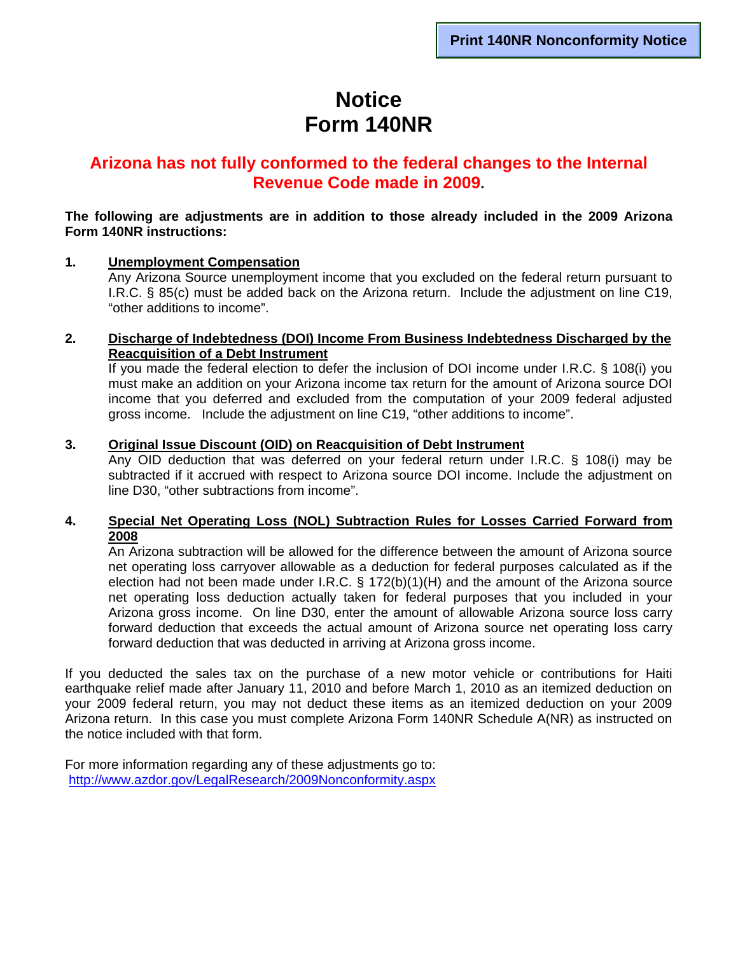# **Notice Form 140NR**

### **Arizona has not fully conformed to the federal changes to the Internal Revenue Code made in 2009.**

#### **The following are adjustments are in addition to those already included in the 2009 Arizona Form 140NR instructions:**

#### **1. Unemployment Compensation**

Any Arizona Source unemployment income that you excluded on the federal return pursuant to I.R.C. § 85(c) must be added back on the Arizona return. Include the adjustment on line C19, "other additions to income".

#### **2. Discharge of Indebtedness (DOI) Income From Business Indebtedness Discharged by the Reacquisition of a Debt Instrument**

If you made the federal election to defer the inclusion of DOI income under I.R.C. § 108(i) you must make an addition on your Arizona income tax return for the amount of Arizona source DOI income that you deferred and excluded from the computation of your 2009 federal adjusted gross income. Include the adjustment on line C19, "other additions to income".

#### **3. Original Issue Discount (OID) on Reacquisition of Debt Instrument**

 Any OID deduction that was deferred on your federal return under I.R.C. § 108(i) may be subtracted if it accrued with respect to Arizona source DOI income. Include the adjustment on line D30, "other subtractions from income".

#### **4. Special Net Operating Loss (NOL) Subtraction Rules for Losses Carried Forward from 2008**

An Arizona subtraction will be allowed for the difference between the amount of Arizona source net operating loss carryover allowable as a deduction for federal purposes calculated as if the election had not been made under I.R.C.  $\S$  172(b)(1)(H) and the amount of the Arizona source net operating loss deduction actually taken for federal purposes that you included in your Arizona gross income. On line D30, enter the amount of allowable Arizona source loss carry forward deduction that exceeds the actual amount of Arizona source net operating loss carry forward deduction that was deducted in arriving at Arizona gross income.

If you deducted the sales tax on the purchase of a new motor vehicle or contributions for Haiti earthquake relief made after January 11, 2010 and before March 1, 2010 as an itemized deduction on your 2009 federal return, you may not deduct these items as an itemized deduction on your 2009 Arizona return. In this case you must complete Arizona Form 140NR Schedule A(NR) as instructed on the notice included with that form.

For more information regarding any of these adjustments go to: <http://www.azdor.gov/LegalResearch/2009Nonconformity.aspx>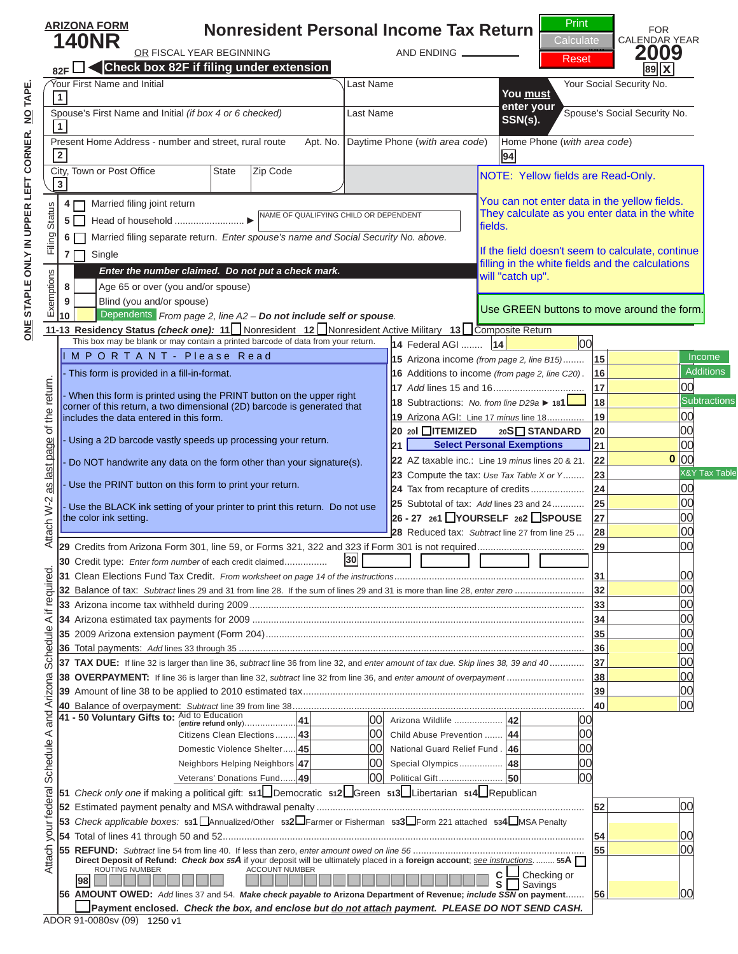**Nonresident Personal Income Tax Return ARIZONA FORM**

#### $\blacksquare$ **82F Check box 82F if fi ling under extension**  $\mathcal{L}$  First Name  $\mathcal{L}$  Last Name Your Social Security No. 1 and 1 and 1 and 1 and 1 and 1 and 1 and 1 and 1 and 1 and 1 and 1 and 1 and 1 and 1 and 1 and 1 and 1 and 1 and 1 and 1 and 1 and 1 and 1 and 1 and 1 and 1 N O T I C E

Print Calculat **Reset** 

FOR



**29** Credits from Arizona Form 301, line 59, or Forms 321, 322 and 323 if Form 301 is not required ........................................ **29** 00 **30** Credit type: *Enter form number* of each credit claimed ................ **30** click on the PRINT button.

Aid to Education (*entire* **refund only**) .................... **41** 00 Arizona Wildlife ................... **42** 00 Citizens Clean Elections ........ **43** 00 Child Abuse Prevention ....... **44** 00 Domestic Violence Shelter ..... **45** 00 National Guard Relief Fund . **46** 00 Neighbors Helping Neighbors **47** 00 Special Olympics ................. **48** 00 Veterans' Donations Fund ...... **49** 00 Political Gift ......................... **50** 00 **36** Total payments: *Add* lines 33 through 35 ................................................................................................................................. **36** 00 **37 TAX DUE:** If line 32 is larger than line 36, *subtract* line 36 from line 32, and *enter amount of tax due. Skip lines 38, 39 and 40* ............. **37** 00 **38 OVERPAYMENT:** If line 36 is larger than line 32, *subtract* line 32 from line 36, and *enter amount of overpayment* ............................. **38** 00 Clicking the PRINT buttor. **40** Balance of overpayment: *Subtract* line 39 from line 38 ............................................................................................................. **40** 00 **41 - 50 Voluntary Gifts T** one last time and **Estimated payment penalty and MSA with and MSA with and MSA with and MSA with and MSA with and MSA 53** *Check applicable boxes:* **531** Annualized/Other **532** Farmer or Fisherman **533** Form 221 attached **534** MSA Penalty update the barcode. **55 REFUND:** *Subtract* line 54 from line 40. If less than zero, *enter amount owed on line 56* ................................................................ **55** 00 will perform the calculations

**56 AMOUNT OWED:** *Add* lines 37 and 54. *Make check payable to* **Arizona Department of Revenue;** *include SSN* **on payment** ....... **56** 00

N O T I C E

**S** Savings

**<sup>98</sup> <sup>C</sup>** Checking or

**Direct Deposit of Refund:** *Check box 55A* if your deposit will be ultimately placed in a **foreign account**; *see instructions*. ........ **55A** ROUTING NUMBER ACCOUNT NUMBER

1250 v1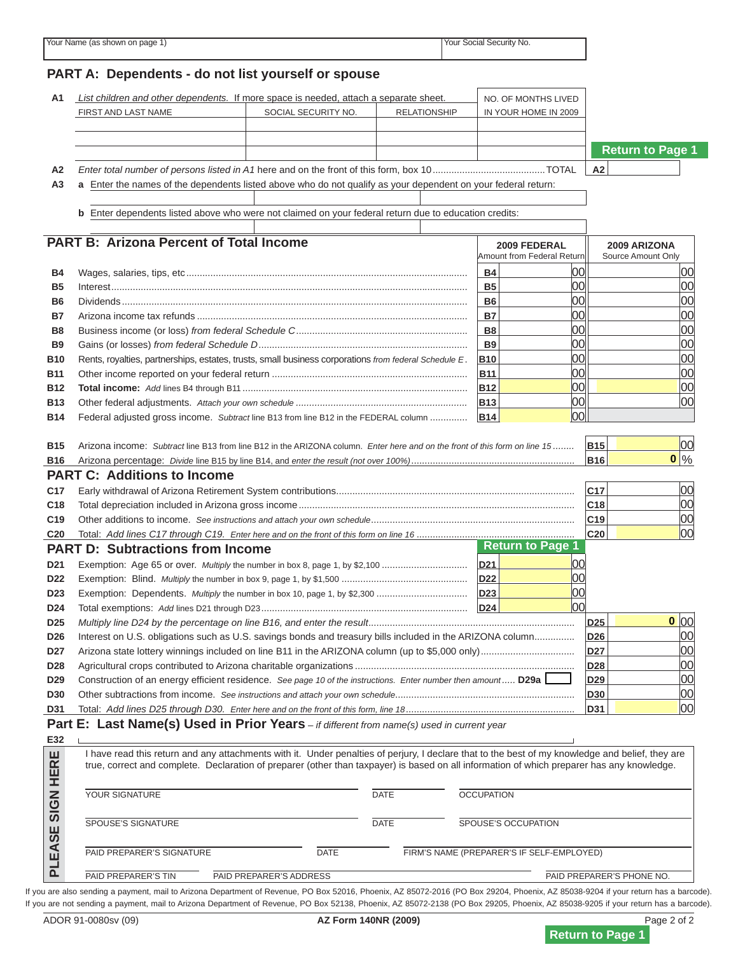# **PART A: Dependents - do not list yourself or spouse A2** *Enter total number of persons listed in A1* here and on the front of this form, box 10 ..........................................TOTAL **A2 A3** N O T I C E N O T I C E



**0**

**0**

<u>B B WAGES, SALARIES, SALARIES, SALARies, SALARies, etc. ........................</u> **B5** Interest ..................................................................................................................................... **B5** 00 00 **B6** Dividends ................................................................................................................................. **B6** 00 00 **B** This is NII 1 a complato roturn this is NOT a complete return. **B9** Gains (or losses) *from federal Schedule D* .............................................................................. **B9** 00 00 If you are viewing this message,

**C18** Total depreciation included in Arizona gross income ....................................................................................................... **C18** 00 **C19** Other additions to income. *See instructions and attach your own schedule* ............................................................................ **C19** 00 To print a completed return: **PART D: Subtractions from Income D21 Age 65 or over. Age 65 or over.** Age 65 or over. The number is a set of the number of the number in box 8, page 1, and 8, page 1, page 1, page 1, page 1, page 1, page 1, page 1, page 1, page 1, page 1, page 1, page 1, **D22** Exemption: Blind. *Multiply* the number in box 9, page 1, by \$1,500 ............................................... **D22** 00 click on the PRINT button.

**D25** *Multiply line D24 by the percentage on line B16, and enter the result* ............................................................................. **D25** 00

**B16** Arizona percentage: *Divide* line B15 by line B14, and *enter the result (not over 100%)* ............................................................. **B16** %

**D27** Arizona state lottery winnings included on line B11 in the ARIZONA column (up to \$5,000 only) ................................... **D27** 00 **D28** Agricultural crops contributed to Arizona charitable organizations .................................................................................. **D28** 00 **D29** Construction of an energy effi cient residence. *See page 10 of the instructions. Enter number then amount .....* **D29a D29** 00 Clicking the PRINT button **D31** Total: *Add lines D25 through D30. Enter here and on the front of this form, line 18* ............................................................... **D31** 00 **Part E: Last Name(s) Used in Prior Years** *– if different from name(s) used in current year* I have read this return and any attachments with it. Under penalties of perjury, I declare that to the best of my knowledge and belief, they are true, correct and complete. Declaration of preparer (other than taxpayer) is based on all information of which preparer has any knowledge. one last time and SPOUSE IN A SIGNATURE DATE OF A SIGNATURE DATA PAID PREPARER'S SIGNATURE DATE FIRM'S NAME (PREPARER'S IF SELF-EMPLOYED) will perform the calculations update the barcode.

# ADOR 91-0080sv (09) **AZ Form 140NR (2009)** Page 2 of 2 N O T I C E Return to Page 1